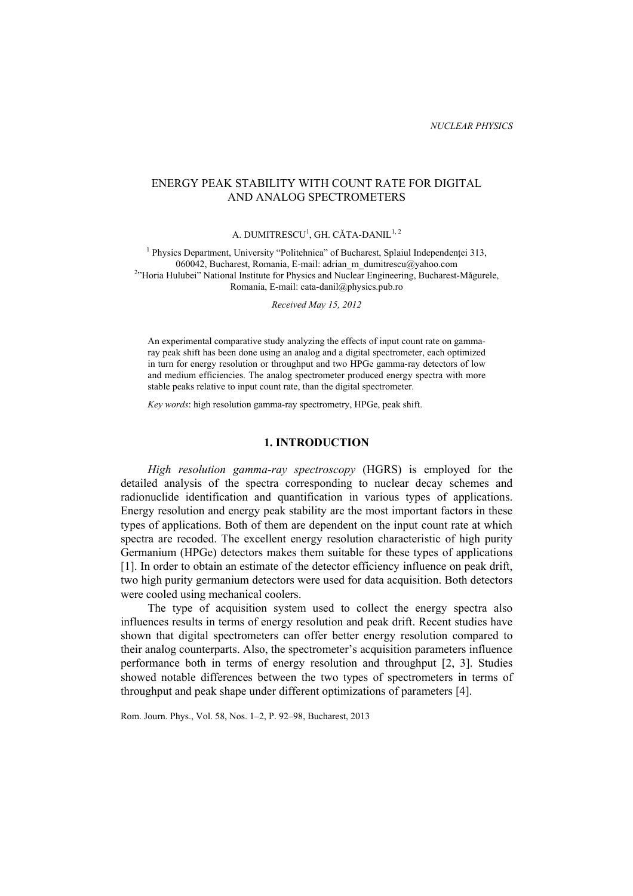# ENERGY PEAK STABILITY WITH COUNT RATE FOR DIGITAL AND ANALOG SPECTROMETERS

A. DUMITRESCU<sup>1</sup>, GH. CĂTA-DANIL<sup>1, 2</sup>

<sup>1</sup> Physics Department, University "Politehnica" of Bucharest, Splaiul Independentei 313, 060042, Bucharest, Romania, E-mail: adrian\_m\_dumitrescu@yahoo.com <sup>2</sup>"Horia Hulubei" National Institute for Physics and Nuclear Engineering, Bucharest-Mǎgurele, Romania, E-mail: cata-danil@physics.pub.ro

*Received May 15, 2012* 

An experimental comparative study analyzing the effects of input count rate on gammaray peak shift has been done using an analog and a digital spectrometer, each optimized in turn for energy resolution or throughput and two HPGe gamma-ray detectors of low and medium efficiencies. The analog spectrometer produced energy spectra with more stable peaks relative to input count rate, than the digital spectrometer.

*Key words*: high resolution gamma-ray spectrometry, HPGe, peak shift.

## **1. INTRODUCTION**

*High resolution gamma-ray spectroscopy* (HGRS) is employed for the detailed analysis of the spectra corresponding to nuclear decay schemes and radionuclide identification and quantification in various types of applications. Energy resolution and energy peak stability are the most important factors in these types of applications. Both of them are dependent on the input count rate at which spectra are recoded. The excellent energy resolution characteristic of high purity Germanium (HPGe) detectors makes them suitable for these types of applications [1]. In order to obtain an estimate of the detector efficiency influence on peak drift, two high purity germanium detectors were used for data acquisition. Both detectors were cooled using mechanical coolers.

The type of acquisition system used to collect the energy spectra also influences results in terms of energy resolution and peak drift. Recent studies have shown that digital spectrometers can offer better energy resolution compared to their analog counterparts. Also, the spectrometer's acquisition parameters influence performance both in terms of energy resolution and throughput [2, 3]. Studies showed notable differences between the two types of spectrometers in terms of throughput and peak shape under different optimizations of parameters [4].

Rom. Journ. Phys., Vol. 58, Nos. 1–2, P. 92–98, Bucharest, 2013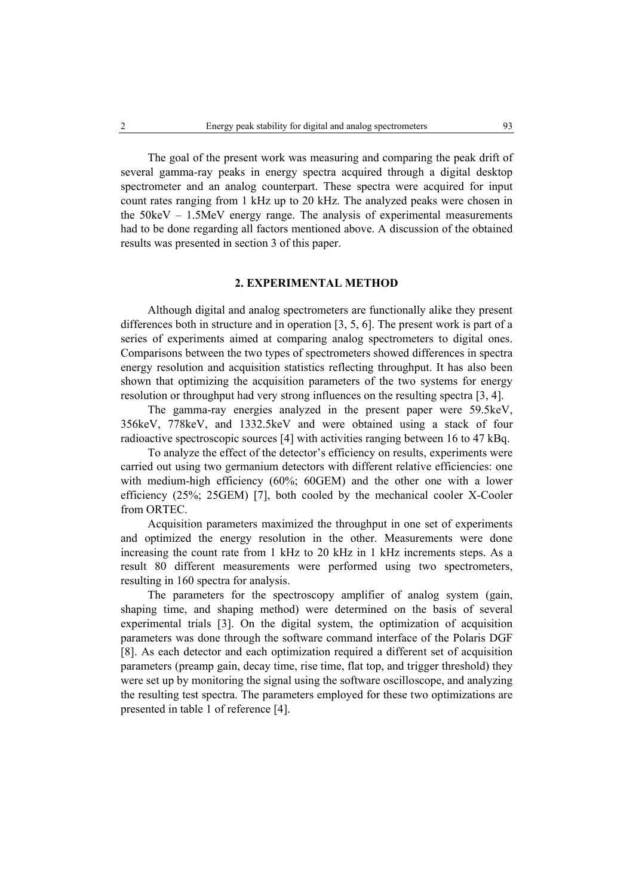The goal of the present work was measuring and comparing the peak drift of several gamma-ray peaks in energy spectra acquired through a digital desktop spectrometer and an analog counterpart. These spectra were acquired for input count rates ranging from 1 kHz up to 20 kHz. The analyzed peaks were chosen in the 50keV – 1.5MeV energy range. The analysis of experimental measurements had to be done regarding all factors mentioned above. A discussion of the obtained results was presented in section 3 of this paper.

### **2. EXPERIMENTAL METHOD**

Although digital and analog spectrometers are functionally alike they present differences both in structure and in operation [3, 5, 6]. The present work is part of a series of experiments aimed at comparing analog spectrometers to digital ones. Comparisons between the two types of spectrometers showed differences in spectra energy resolution and acquisition statistics reflecting throughput. It has also been shown that optimizing the acquisition parameters of the two systems for energy resolution or throughput had very strong influences on the resulting spectra [3, 4].

The gamma-ray energies analyzed in the present paper were 59.5keV, 356keV, 778keV, and 1332.5keV and were obtained using a stack of four radioactive spectroscopic sources [4] with activities ranging between 16 to 47 kBq.

To analyze the effect of the detector's efficiency on results, experiments were carried out using two germanium detectors with different relative efficiencies: one with medium-high efficiency (60%; 60GEM) and the other one with a lower efficiency (25%; 25GEM) [7], both cooled by the mechanical cooler X-Cooler from ORTEC.

Acquisition parameters maximized the throughput in one set of experiments and optimized the energy resolution in the other. Measurements were done increasing the count rate from 1 kHz to 20 kHz in 1 kHz increments steps. As a result 80 different measurements were performed using two spectrometers, resulting in 160 spectra for analysis.

The parameters for the spectroscopy amplifier of analog system (gain, shaping time, and shaping method) were determined on the basis of several experimental trials [3]. On the digital system, the optimization of acquisition parameters was done through the software command interface of the Polaris DGF [8]. As each detector and each optimization required a different set of acquisition parameters (preamp gain, decay time, rise time, flat top, and trigger threshold) they were set up by monitoring the signal using the software oscilloscope, and analyzing the resulting test spectra. The parameters employed for these two optimizations are presented in table 1 of reference [4].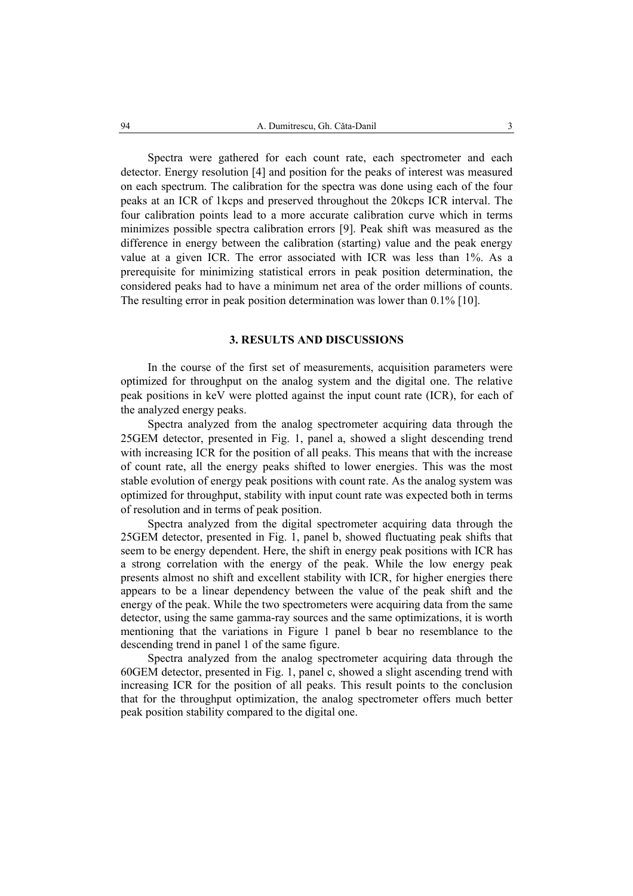Spectra were gathered for each count rate, each spectrometer and each detector. Energy resolution [4] and position for the peaks of interest was measured on each spectrum. The calibration for the spectra was done using each of the four peaks at an ICR of 1kcps and preserved throughout the 20kcps ICR interval. The four calibration points lead to a more accurate calibration curve which in terms minimizes possible spectra calibration errors [9]. Peak shift was measured as the difference in energy between the calibration (starting) value and the peak energy value at a given ICR. The error associated with ICR was less than 1%. As a prerequisite for minimizing statistical errors in peak position determination, the considered peaks had to have a minimum net area of the order millions of counts. The resulting error in peak position determination was lower than 0.1% [10].

## **3. RESULTS AND DISCUSSIONS**

In the course of the first set of measurements, acquisition parameters were optimized for throughput on the analog system and the digital one. The relative peak positions in keV were plotted against the input count rate (ICR), for each of the analyzed energy peaks.

Spectra analyzed from the analog spectrometer acquiring data through the 25GEM detector, presented in Fig. 1, panel a, showed a slight descending trend with increasing ICR for the position of all peaks. This means that with the increase of count rate, all the energy peaks shifted to lower energies. This was the most stable evolution of energy peak positions with count rate. As the analog system was optimized for throughput, stability with input count rate was expected both in terms of resolution and in terms of peak position.

Spectra analyzed from the digital spectrometer acquiring data through the 25GEM detector, presented in Fig. 1, panel b, showed fluctuating peak shifts that seem to be energy dependent. Here, the shift in energy peak positions with ICR has a strong correlation with the energy of the peak. While the low energy peak presents almost no shift and excellent stability with ICR, for higher energies there appears to be a linear dependency between the value of the peak shift and the energy of the peak. While the two spectrometers were acquiring data from the same detector, using the same gamma-ray sources and the same optimizations, it is worth mentioning that the variations in Figure 1 panel b bear no resemblance to the descending trend in panel 1 of the same figure.

Spectra analyzed from the analog spectrometer acquiring data through the 60GEM detector, presented in Fig. 1, panel c, showed a slight ascending trend with increasing ICR for the position of all peaks. This result points to the conclusion that for the throughput optimization, the analog spectrometer offers much better peak position stability compared to the digital one.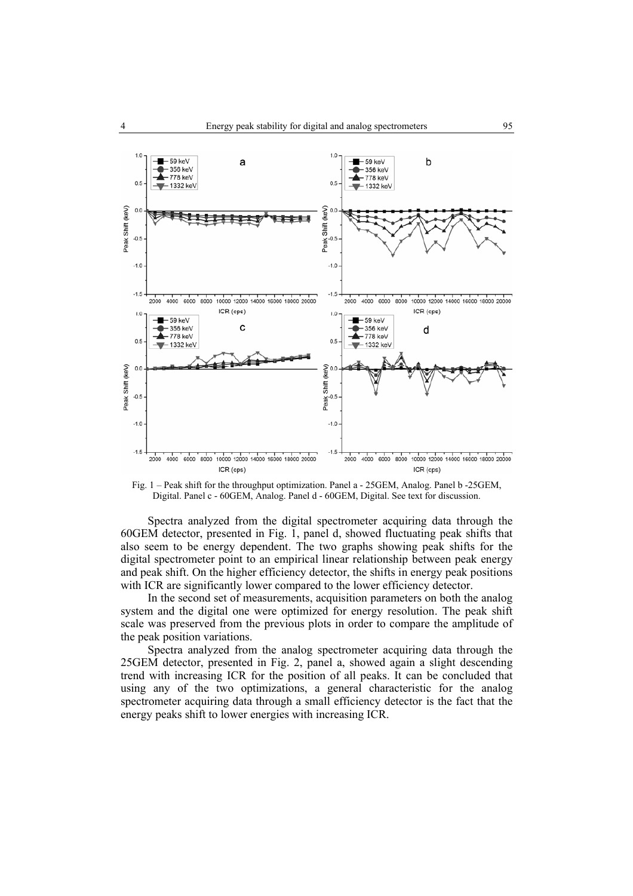

Fig. 1 – Peak shift for the throughput optimization. Panel a - 25GEM, Analog. Panel b -25GEM, Digital. Panel c - 60GEM, Analog. Panel d - 60GEM, Digital. See text for discussion.

Spectra analyzed from the digital spectrometer acquiring data through the 60GEM detector, presented in Fig. 1, panel d, showed fluctuating peak shifts that also seem to be energy dependent. The two graphs showing peak shifts for the digital spectrometer point to an empirical linear relationship between peak energy and peak shift. On the higher efficiency detector, the shifts in energy peak positions with ICR are significantly lower compared to the lower efficiency detector.

In the second set of measurements, acquisition parameters on both the analog system and the digital one were optimized for energy resolution. The peak shift scale was preserved from the previous plots in order to compare the amplitude of the peak position variations.

Spectra analyzed from the analog spectrometer acquiring data through the 25GEM detector, presented in Fig. 2, panel a, showed again a slight descending trend with increasing ICR for the position of all peaks. It can be concluded that using any of the two optimizations, a general characteristic for the analog spectrometer acquiring data through a small efficiency detector is the fact that the energy peaks shift to lower energies with increasing ICR.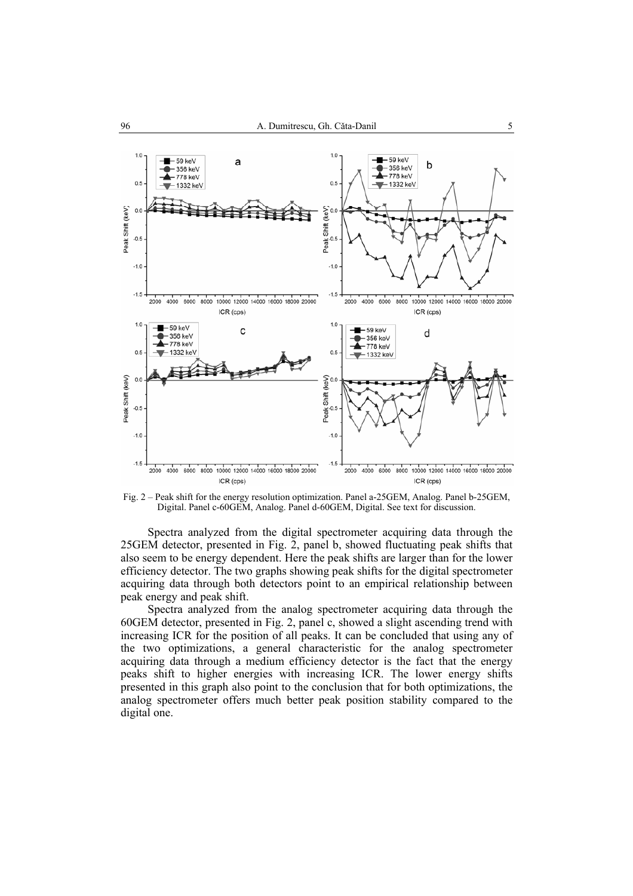

Fig. 2 – Peak shift for the energy resolution optimization. Panel a-25GEM, Analog. Panel b-25GEM, Digital. Panel c-60GEM, Analog. Panel d-60GEM, Digital. See text for discussion.

Spectra analyzed from the digital spectrometer acquiring data through the 25GEM detector, presented in Fig. 2, panel b, showed fluctuating peak shifts that also seem to be energy dependent. Here the peak shifts are larger than for the lower efficiency detector. The two graphs showing peak shifts for the digital spectrometer acquiring data through both detectors point to an empirical relationship between peak energy and peak shift.

Spectra analyzed from the analog spectrometer acquiring data through the 60GEM detector, presented in Fig. 2, panel c, showed a slight ascending trend with increasing ICR for the position of all peaks. It can be concluded that using any of the two optimizations, a general characteristic for the analog spectrometer acquiring data through a medium efficiency detector is the fact that the energy peaks shift to higher energies with increasing ICR. The lower energy shifts presented in this graph also point to the conclusion that for both optimizations, the analog spectrometer offers much better peak position stability compared to the digital one.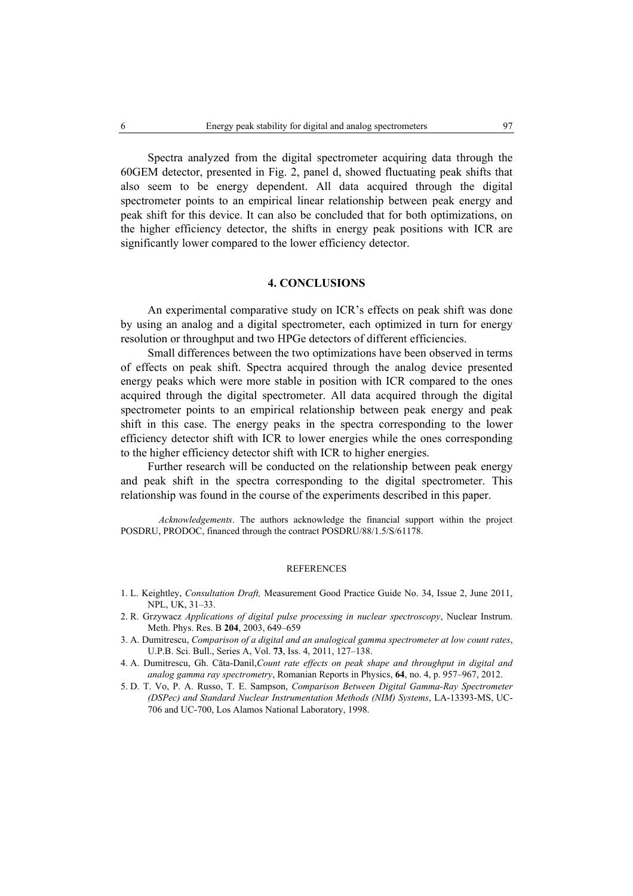Spectra analyzed from the digital spectrometer acquiring data through the 60GEM detector, presented in Fig. 2, panel d, showed fluctuating peak shifts that also seem to be energy dependent. All data acquired through the digital spectrometer points to an empirical linear relationship between peak energy and peak shift for this device. It can also be concluded that for both optimizations, on the higher efficiency detector, the shifts in energy peak positions with ICR are significantly lower compared to the lower efficiency detector.

#### **4. CONCLUSIONS**

An experimental comparative study on ICR's effects on peak shift was done by using an analog and a digital spectrometer, each optimized in turn for energy resolution or throughput and two HPGe detectors of different efficiencies.

Small differences between the two optimizations have been observed in terms of effects on peak shift. Spectra acquired through the analog device presented energy peaks which were more stable in position with ICR compared to the ones acquired through the digital spectrometer. All data acquired through the digital spectrometer points to an empirical relationship between peak energy and peak shift in this case. The energy peaks in the spectra corresponding to the lower efficiency detector shift with ICR to lower energies while the ones corresponding to the higher efficiency detector shift with ICR to higher energies.

Further research will be conducted on the relationship between peak energy and peak shift in the spectra corresponding to the digital spectrometer. This relationship was found in the course of the experiments described in this paper.

*Acknowledgements*. The authors acknowledge the financial support within the project POSDRU, PRODOC, financed through the contract POSDRU/88/1.5/S/61178.

#### **REFERENCES**

- 1. L. Keightley, *Consultation Draft,* Measurement Good Practice Guide No. 34, Issue 2, June 2011, NPL, UK, 31–33.
- 2. R. Grzywacz *Applications of digital pulse processing in nuclear spectroscopy*, Nuclear Instrum. Meth. Phys. Res. B **204**, 2003, 649–659
- 3. A. Dumitrescu, *Comparison of a digital and an analogical gamma spectrometer at low count rates*, U.P.B. Sci. Bull., Series A, Vol. **73**, Iss. 4, 2011, 127–138.
- 4. A. Dumitrescu, Gh. Căta-Danil,*Count rate effects on peak shape and throughput in digital and analog gamma ray spectrometry*, Romanian Reports in Physics, **64**, no. 4, p. 957–967, 2012.
- 5. D. T. Vo, P. A. Russo, T. E. Sampson, *Comparison Between Digital Gamma-Ray Spectrometer (DSPec) and Standard Nuclear Instrumentation Methods (NIM) Systems*, LA-13393-MS, UC-706 and UC-700, Los Alamos National Laboratory, 1998.